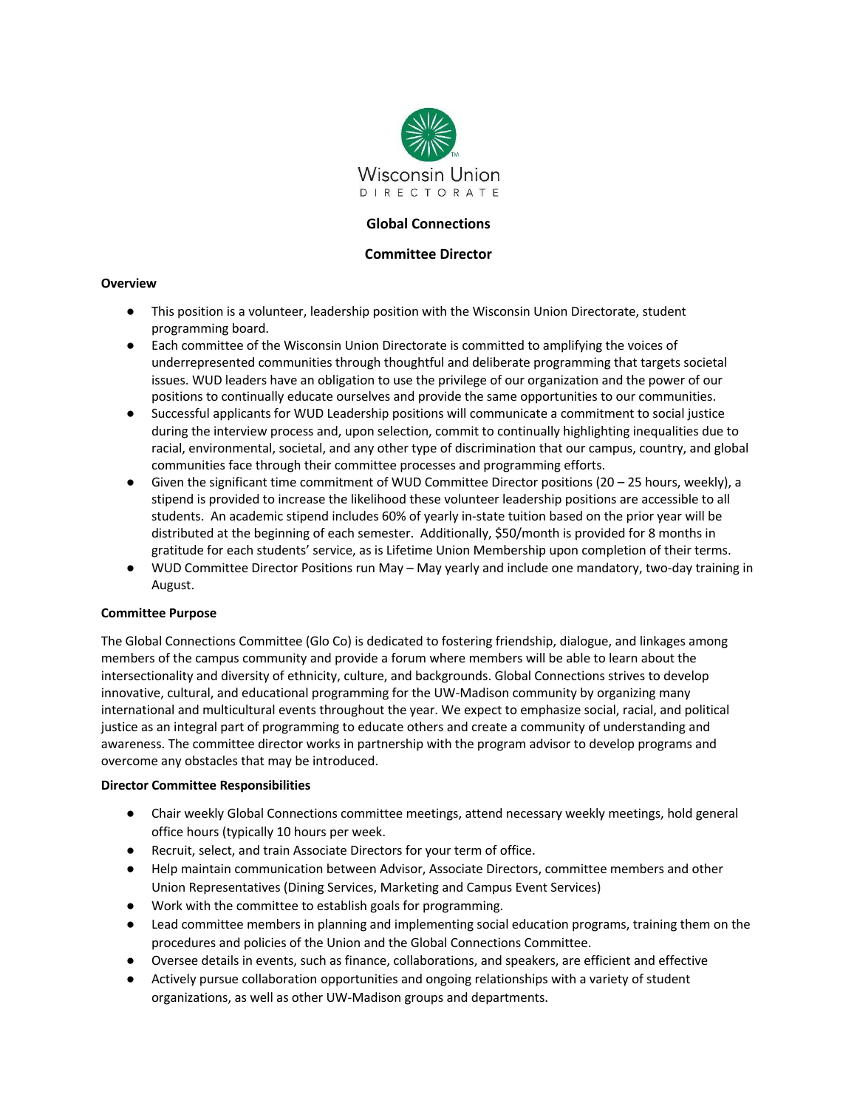

# **Global Connections**

## **Committee Director**

### **Overview**

- This position is a volunteer, leadership position with the Wisconsin Union Directorate, student programming board.
- Each committee of the Wisconsin Union Directorate is committed to amplifying the voices of underrepresented communities through thoughtful and deliberate programming that targets societal issues. WUD leaders have an obligation to use the privilege of our organization and the power of our positions to continually educate ourselves and provide the same opportunities to our communities.
- Successful applicants for WUD Leadership positions will communicate a commitment to social justice during the interview process and, upon selection, commit to continually highlighting inequalities due to racial, environmental, societal, and any other type of discrimination that our campus, country, and global communities face through their committee processes and programming efforts.
- $\bullet$  Given the significant time commitment of WUD Committee Director positions (20 25 hours, weekly), a stipend is provided to increase the likelihood these volunteer leadership positions are accessible to all students. An academic stipend includes 60% of yearly in-state tuition based on the prior year will be distributed at the beginning of each semester. Additionally, \$50/month is provided for 8 months in gratitude for each students' service, as is Lifetime Union Membership upon completion of their terms.
- WUD Committee Director Positions run May May yearly and include one mandatory, two-day training in August.

#### **Committee Purpose**

The Global Connections Committee (Glo Co) is dedicated to fostering friendship, dialogue, and linkages among members of the campus community and provide a forum where members will be able to learn about the intersectionality and diversity of ethnicity, culture, and backgrounds. Global Connections strives to develop innovative, cultural, and educational programming for the UW-Madison community by organizing many international and multicultural events throughout the year. We expect to emphasize social, racial, and political justice as an integral part of programming to educate others and create a community of understanding and awareness. The committee director works in partnership with the program advisor to develop programs and overcome any obstacles that may be introduced.

### **Director Committee Responsibilities**

- Chair weekly Global Connections committee meetings, attend necessary weekly meetings, hold general office hours (typically 10 hours per week.
- Recruit, select, and train Associate Directors for your term of office.
- Help maintain communication between Advisor, Associate Directors, committee members and other Union Representatives (Dining Services, Marketing and Campus Event Services)
- Work with the committee to establish goals for programming.
- Lead committee members in planning and implementing social education programs, training them on the procedures and policies of the Union and the Global Connections Committee.
- Oversee details in events, such as finance, collaborations, and speakers, are efficient and effective
- Actively pursue collaboration opportunities and ongoing relationships with a variety of student organizations, as well as other UW-Madison groups and departments.